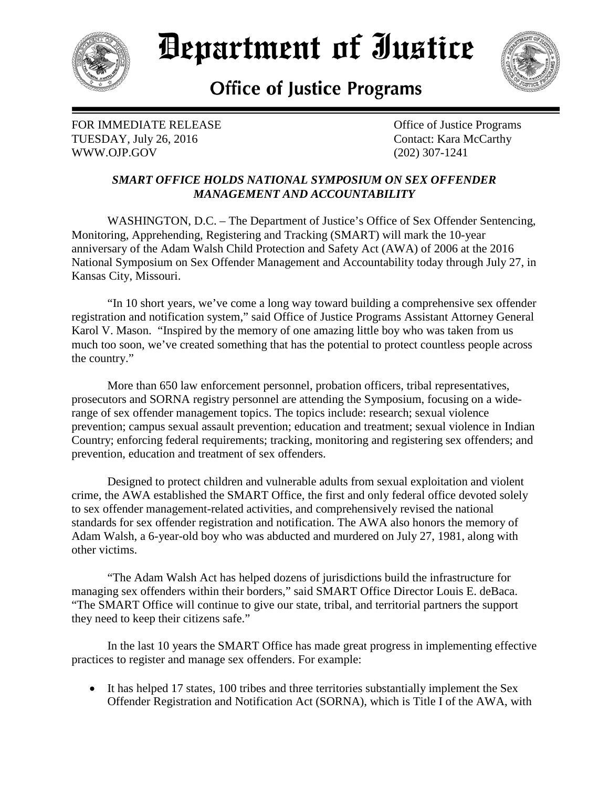

## Department of Iustice



## **Office of Justice Programs**

FOR IMMEDIATE RELEASE **CONSERVANCE OF SUBSEX** Office of Justice Programs TUESDAY, July 26, 2016 Contact: Kara McCarthy WWW.OJP.GOV (202) 307-1241

## *SMART OFFICE HOLDS NATIONAL SYMPOSIUM ON SEX OFFENDER MANAGEMENT AND ACCOUNTABILITY*

WASHINGTON, D.C. – The Department of Justice's Office of Sex Offender Sentencing, Monitoring, Apprehending, Registering and Tracking (SMART) will mark the 10-year anniversary of the Adam Walsh Child Protection and Safety Act (AWA) of 2006 at the 2016 National Symposium on Sex Offender Management and Accountability today through July 27, in Kansas City, Missouri.

"In 10 short years, we've come a long way toward building a comprehensive sex offender registration and notification system," said Office of Justice Programs Assistant Attorney General Karol V. Mason. "Inspired by the memory of one amazing little boy who was taken from us much too soon, we've created something that has the potential to protect countless people across the country."

More than 650 law enforcement personnel, probation officers, tribal representatives, prosecutors and SORNA registry personnel are attending the Symposium, focusing on a widerange of sex offender management topics. The topics include: research; sexual violence prevention; campus sexual assault prevention; education and treatment; sexual violence in Indian Country; enforcing federal requirements; tracking, monitoring and registering sex offenders; and prevention, education and treatment of sex offenders.

Designed to protect children and vulnerable adults from sexual exploitation and violent crime, the AWA established the SMART Office, the first and only federal office devoted solely to sex offender management-related activities, and comprehensively revised the national standards for sex offender registration and notification. The AWA also honors the memory of Adam Walsh, a 6-year-old boy who was abducted and murdered on July 27, 1981, along with other victims.

"The Adam Walsh Act has helped dozens of jurisdictions build the infrastructure for managing sex offenders within their borders," said SMART Office Director Louis E. deBaca. "The SMART Office will continue to give our state, tribal, and territorial partners the support they need to keep their citizens safe."

In the last 10 years the SMART Office has made great progress in implementing effective practices to register and manage sex offenders. For example:

• It has helped 17 states, 100 tribes and three territories substantially implement the Sex Offender Registration and Notification Act (SORNA), which is Title I of the AWA, with